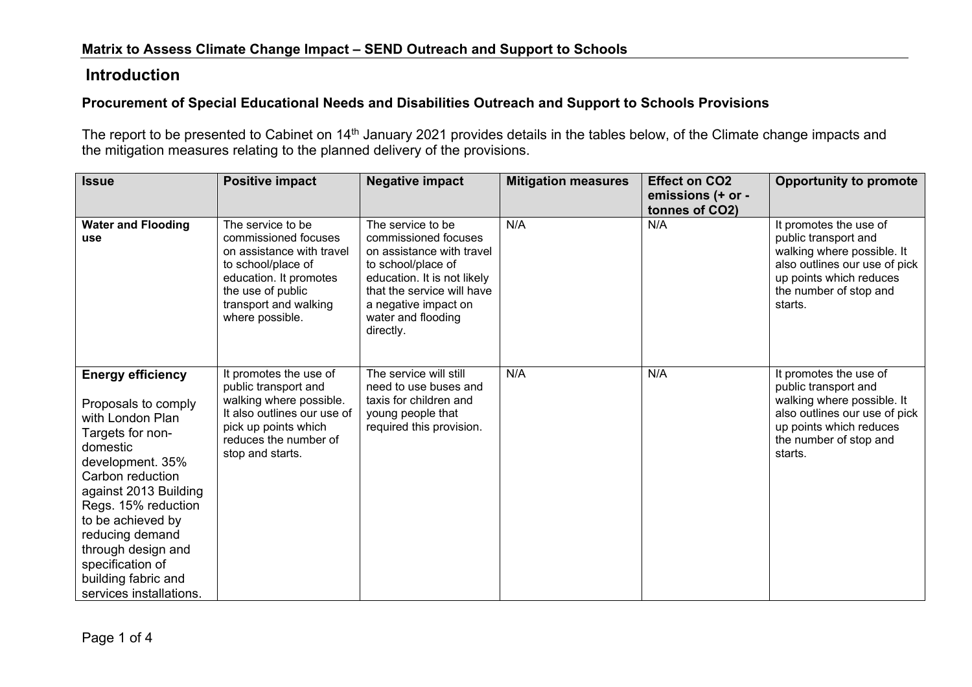## **Introduction**

## **Procurement of Special Educational Needs and Disabilities Outreach and Support to Schools Provisions**

The report to be presented to Cabinet on 14<sup>th</sup> January 2021 provides details in the tables below, of the Climate change impacts and the mitigation measures relating to the planned delivery of the provisions.

| <b>Issue</b>                                                                                                                                                                                                                                                                                                                    | <b>Positive impact</b>                                                                                                                                                                  | <b>Negative impact</b>                                                                                                                                                                                               | <b>Mitigation measures</b> | <b>Effect on CO2</b><br>emissions (+ or -<br>tonnes of CO2) | <b>Opportunity to promote</b>                                                                                                                                                 |
|---------------------------------------------------------------------------------------------------------------------------------------------------------------------------------------------------------------------------------------------------------------------------------------------------------------------------------|-----------------------------------------------------------------------------------------------------------------------------------------------------------------------------------------|----------------------------------------------------------------------------------------------------------------------------------------------------------------------------------------------------------------------|----------------------------|-------------------------------------------------------------|-------------------------------------------------------------------------------------------------------------------------------------------------------------------------------|
| <b>Water and Flooding</b><br>use                                                                                                                                                                                                                                                                                                | The service to be<br>commissioned focuses<br>on assistance with travel<br>to school/place of<br>education. It promotes<br>the use of public<br>transport and walking<br>where possible. | The service to be<br>commissioned focuses<br>on assistance with travel<br>to school/place of<br>education. It is not likely<br>that the service will have<br>a negative impact on<br>water and flooding<br>directly. | N/A                        | N/A                                                         | It promotes the use of<br>public transport and<br>walking where possible. It<br>also outlines our use of pick<br>up points which reduces<br>the number of stop and<br>starts. |
| <b>Energy efficiency</b><br>Proposals to comply<br>with London Plan<br>Targets for non-<br>domestic<br>development. 35%<br>Carbon reduction<br>against 2013 Building<br>Regs. 15% reduction<br>to be achieved by<br>reducing demand<br>through design and<br>specification of<br>building fabric and<br>services installations. | It promotes the use of<br>public transport and<br>walking where possible.<br>It also outlines our use of<br>pick up points which<br>reduces the number of<br>stop and starts.           | The service will still<br>need to use buses and<br>taxis for children and<br>young people that<br>required this provision.                                                                                           | N/A                        | N/A                                                         | It promotes the use of<br>public transport and<br>walking where possible. It<br>also outlines our use of pick<br>up points which reduces<br>the number of stop and<br>starts. |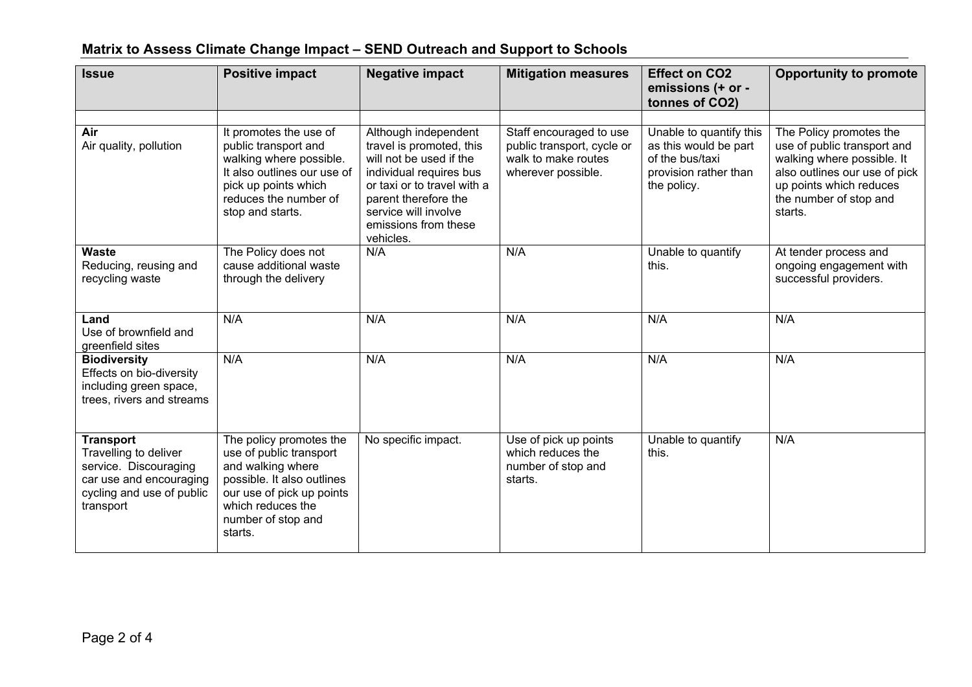| <b>Issue</b>                                                                                                                            | <b>Positive impact</b>                                                                                                                                                                   | <b>Negative impact</b>                                                                                                                                                                                                     | <b>Mitigation measures</b>                                                                         | <b>Effect on CO2</b><br>emissions (+ or -<br>tonnes of CO2)                                                 | <b>Opportunity to promote</b>                                                                                                                                                         |
|-----------------------------------------------------------------------------------------------------------------------------------------|------------------------------------------------------------------------------------------------------------------------------------------------------------------------------------------|----------------------------------------------------------------------------------------------------------------------------------------------------------------------------------------------------------------------------|----------------------------------------------------------------------------------------------------|-------------------------------------------------------------------------------------------------------------|---------------------------------------------------------------------------------------------------------------------------------------------------------------------------------------|
| Air<br>Air quality, pollution                                                                                                           | It promotes the use of<br>public transport and<br>walking where possible.<br>It also outlines our use of<br>pick up points which<br>reduces the number of<br>stop and starts.            | Although independent<br>travel is promoted, this<br>will not be used if the<br>individual requires bus<br>or taxi or to travel with a<br>parent therefore the<br>service will involve<br>emissions from these<br>vehicles. | Staff encouraged to use<br>public transport, cycle or<br>walk to make routes<br>wherever possible. | Unable to quantify this<br>as this would be part<br>of the bus/taxi<br>provision rather than<br>the policy. | The Policy promotes the<br>use of public transport and<br>walking where possible. It<br>also outlines our use of pick<br>up points which reduces<br>the number of stop and<br>starts. |
| Waste<br>Reducing, reusing and<br>recycling waste                                                                                       | The Policy does not<br>cause additional waste<br>through the delivery                                                                                                                    | N/A                                                                                                                                                                                                                        | N/A                                                                                                | Unable to quantify<br>this.                                                                                 | At tender process and<br>ongoing engagement with<br>successful providers.                                                                                                             |
| Land<br>Use of brownfield and<br>greenfield sites                                                                                       | N/A                                                                                                                                                                                      | N/A                                                                                                                                                                                                                        | N/A                                                                                                | N/A                                                                                                         | N/A                                                                                                                                                                                   |
| <b>Biodiversity</b><br>Effects on bio-diversity<br>including green space,<br>trees, rivers and streams                                  | N/A                                                                                                                                                                                      | N/A                                                                                                                                                                                                                        | N/A                                                                                                | N/A                                                                                                         | N/A                                                                                                                                                                                   |
| <b>Transport</b><br>Travelling to deliver<br>service. Discouraging<br>car use and encouraging<br>cycling and use of public<br>transport | The policy promotes the<br>use of public transport<br>and walking where<br>possible. It also outlines<br>our use of pick up points<br>which reduces the<br>number of stop and<br>starts. | No specific impact.                                                                                                                                                                                                        | Use of pick up points<br>which reduces the<br>number of stop and<br>starts.                        | Unable to quantify<br>this.                                                                                 | N/A                                                                                                                                                                                   |

## **Matrix to Assess Climate Change Impact – SEND Outreach and Support to Schools**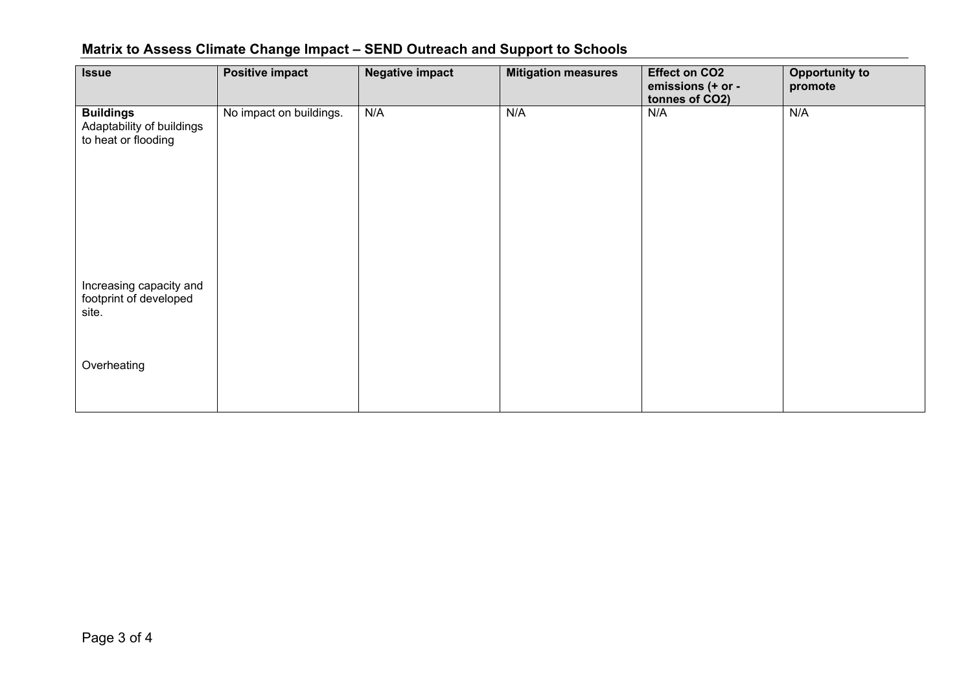| <b>Issue</b>                                                         | <b>Positive impact</b>  | <b>Negative impact</b> | <b>Mitigation measures</b> | <b>Effect on CO2</b><br>emissions (+ or -<br>tonnes of CO2) | <b>Opportunity to</b><br>promote |
|----------------------------------------------------------------------|-------------------------|------------------------|----------------------------|-------------------------------------------------------------|----------------------------------|
| <b>Buildings</b><br>Adaptability of buildings<br>to heat or flooding | No impact on buildings. | N/A                    | N/A                        | N/A                                                         | N/A                              |
| Increasing capacity and<br>footprint of developed<br>site.           |                         |                        |                            |                                                             |                                  |
| Overheating                                                          |                         |                        |                            |                                                             |                                  |

## **Matrix to Assess Climate Change Impact – SEND Outreach and Support to Schools**